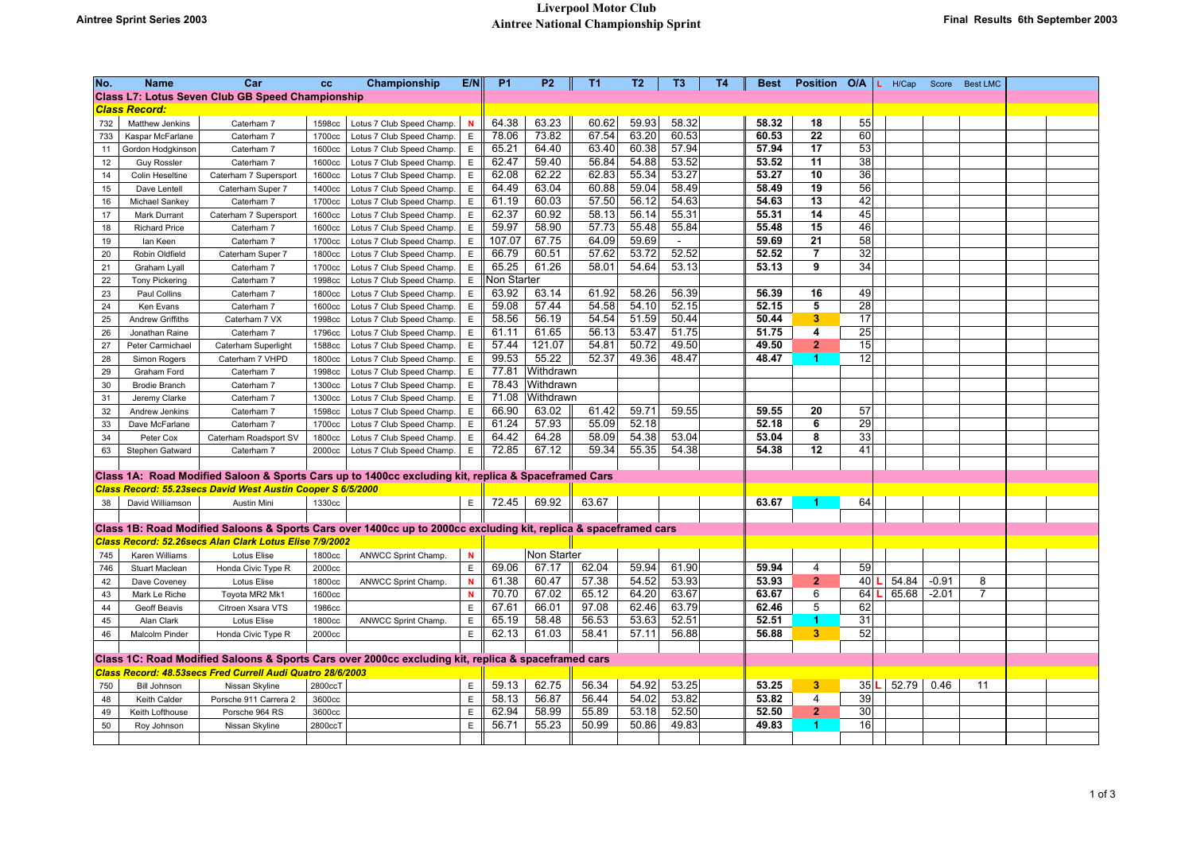| No.          | <b>Name</b>             | Car                                                         | cc      | Championship                                                                                                     | E/N         | <b>P1</b>          | <b>P2</b>   | T1    | T <sub>2</sub> | T3             | <b>T4</b> | <b>Best</b>    | <b>Position</b>         | O/A      | H/Cap | Score   | <b>Best LMC</b> |  |
|--------------|-------------------------|-------------------------------------------------------------|---------|------------------------------------------------------------------------------------------------------------------|-------------|--------------------|-------------|-------|----------------|----------------|-----------|----------------|-------------------------|----------|-------|---------|-----------------|--|
|              |                         | <b>Class L7: Lotus Seven Club GB Speed Championship</b>     |         |                                                                                                                  |             |                    |             |       |                |                |           |                |                         |          |       |         |                 |  |
|              | <b>Class Record:</b>    |                                                             |         |                                                                                                                  |             |                    |             |       |                |                |           |                |                         |          |       |         |                 |  |
| 732          | Matthew Jenkins         | Caterham 7                                                  | 1598cc  | Lotus 7 Club Speed Champ.                                                                                        | <b>N</b>    | 64.38              | 63.23       | 60.62 | 59.93          | 58.32          |           | 58.32          | 18                      | 55       |       |         |                 |  |
| 733          | Kaspar McFarlane        | Caterham 7                                                  | 1700cc  | Lotus 7 Club Speed Champ.                                                                                        | $\mathsf E$ | 78.06              | 73.82       | 67.54 | 63.20          | 60.53          |           | 60.53          | 22                      | 60       |       |         |                 |  |
| 11           | Gordon Hodgkinson       | Caterham 7                                                  | 1600cc  | Lotus 7 Club Speed Champ.                                                                                        | Ε           | 65.21              | 64.40       | 63.40 | 60.38          | 57.94          |           | 57.94          | 17                      | 53       |       |         |                 |  |
| 12           | <b>Guy Rossler</b>      | Caterham 7                                                  | 1600cc  | Lotus 7 Club Speed Champ.                                                                                        | Ε           | 62.47              | 59.40       | 56.84 | 54.88          | 53.52          |           | 53.52          | 11                      | 38       |       |         |                 |  |
| 14           | Colin Heseltine         | Caterham 7 Supersport                                       | 1600cc  | Lotus 7 Club Speed Champ.                                                                                        | $\mathsf E$ | 62.08              | 62.22       | 62.83 | 55.34          | 53.27          |           | 53.27          | 10                      | 36       |       |         |                 |  |
| 15           | Dave Lentell            | Caterham Super 7                                            | 1400cc  | Lotus 7 Club Speed Champ.                                                                                        | Ε           | 64.49              | 63.04       | 60.88 | 59.04          | 58.49          |           | 58.49          | 19                      | 56       |       |         |                 |  |
| 16           | Michael Sankey          | Caterham 7                                                  | 1700cc  | Lotus 7 Club Speed Champ.                                                                                        | Ε           | 61.19              | 60.03       | 57.50 | 56.12          | 54.63          |           | 54.63          | 13                      | 42       |       |         |                 |  |
| 17           | Mark Durrant            | Caterham 7 Supersport                                       | 1600cc  | Lotus 7 Club Speed Champ.                                                                                        | E           | 62.37              | 60.92       | 58.13 | 56.14          | 55.31          |           | 55.31          | 14                      | 45       |       |         |                 |  |
| 18           | <b>Richard Price</b>    | Caterham 7                                                  | 1600cc  | Lotus 7 Club Speed Champ                                                                                         | Ε           | 59.97              | 58.90       | 57.73 | 55.48          | 55.84          |           | 55.48          | 15                      | 46       |       |         |                 |  |
| 19           | lan Keen                | Caterham 7                                                  | 1700cc  | Lotus 7 Club Speed Champ.                                                                                        | E           | 107.07             | 67.75       | 64.09 | 59.69          | $\mathbf{r}$   |           | 59.69          | 21                      | 58       |       |         |                 |  |
| 20           | Robin Oldfield          | Caterham Super 7                                            | 1800cc  | Lotus 7 Club Speed Champ.                                                                                        | E           | 66.79              | 60.51       | 57.62 | 53.72          | 52.52          |           | 52.52          | $\overline{7}$          | 32       |       |         |                 |  |
| 21           | Graham Lyall            | Caterham 7                                                  | 1700cc  | Lotus 7 Club Speed Champ.                                                                                        | Ε           | 65.25              | 61.26       | 58.01 | 54.64          | 53.13          |           | 53.13          | 9                       | 34       |       |         |                 |  |
| 22           | <b>Tony Pickering</b>   | Caterham 7                                                  | 1998cc  | Lotus 7 Club Speed Champ.                                                                                        | Ε           | <b>Non Starter</b> |             |       |                |                |           |                |                         |          |       |         |                 |  |
| 23           | Paul Collins            | Caterham 7                                                  | 1800cc  | Lotus 7 Club Speed Champ.                                                                                        | E           | 63.92              | 63.14       | 61.92 | 58.26          | 56.39          |           | 56.39          | 16                      | 49       |       |         |                 |  |
| 24           | Ken Evans               | Caterham 7                                                  | 1600cc  | Lotus 7 Club Speed Champ.                                                                                        | $\mathsf E$ | 59.08              | 57.44       | 54.58 | 54.10          | 52.15          |           | 52.15          | 5                       | 28       |       |         |                 |  |
| 25           | <b>Andrew Griffiths</b> | Caterham 7 VX                                               | 1998cc  | Lotus 7 Club Speed Champ.                                                                                        | Ε           | 58.56              | 56.19       | 54.54 | 51.59          | 50.44          |           | 50.44          | $\overline{\mathbf{3}}$ | 17       |       |         |                 |  |
| 26           | Jonathan Raine          | Caterham 7                                                  | 1796cc  | Lotus 7 Club Speed Champ.                                                                                        | Ε           | 61.11              | 61.65       | 56.13 | 53.47          | 51.75          |           | 51.75          | 4                       | 25       |       |         |                 |  |
| 27           | Peter Carmichael        | Caterham Superlight                                         | 1588cc  | Lotus 7 Club Speed Champ.                                                                                        | Ε           | 57.44              | 121.07      | 54.81 | 50.72          | 49.50          |           | 49.50          | $\overline{\mathbf{2}}$ | 15       |       |         |                 |  |
| 28           | Simon Rogers            | Caterham 7 VHPD                                             | 1800cc  | Lotus 7 Club Speed Champ.                                                                                        | Ε           | 99.53              | 55.22       | 52.37 | 49.36          | 48.47          |           | 48.47          | 1.                      | 12       |       |         |                 |  |
| 29           | Graham Ford             | Caterham 7                                                  | 1998cc  | Lotus 7 Club Speed Champ.                                                                                        | E           | 77.81              | Withdrawn   |       |                |                |           |                |                         |          |       |         |                 |  |
| 30           | <b>Brodie Branch</b>    | Caterham 7                                                  | 1300cc  | Lotus 7 Club Speed Champ.                                                                                        | Ε           | 78.43              | Withdrawn   |       |                |                |           |                |                         |          |       |         |                 |  |
| 31           | Jeremy Clarke           | Caterham 7                                                  | 1300cc  | Lotus 7 Club Speed Champ.                                                                                        | E           | 71.08              | Withdrawn   |       |                |                |           |                |                         |          |       |         |                 |  |
| 32           | Andrew Jenkins          | Caterham 7                                                  | 1598cc  | Lotus 7 Club Speed Champ.                                                                                        | Ε           | 66.90              | 63.02       | 61.42 | 59.71          | 59.55          |           | 59.55          | 20<br>6                 | 57       |       |         |                 |  |
| 33           | Dave McFarlane          | Caterham 7                                                  | 1700cc  | Lotus 7 Club Speed Champ                                                                                         | Е           | 61.24              | 57.93       | 55.09 | 52.18          |                |           | 52.18          |                         | 29       |       |         |                 |  |
| 34           | Peter Cox               | Caterham Roadsport SV                                       | 1800cc  | Lotus 7 Club Speed Champ.                                                                                        | E           | 64.42<br>72.85     | 64.28       | 58.09 | 54.38          | 53.04<br>54.38 |           | 53.04<br>54.38 | 8<br>12                 | 33<br>41 |       |         |                 |  |
| 63           | Stephen Gatward         | Caterham 7                                                  | 2000cc  | Lotus 7 Club Speed Champ.                                                                                        | $\mathsf E$ |                    | 67.12       | 59.34 | 55.35          |                |           |                |                         |          |       |         |                 |  |
|              |                         |                                                             |         | Class 1A: Road Modified Saloon & Sports Cars up to 1400cc excluding kit, replica & Spaceframed Cars              |             |                    |             |       |                |                |           |                |                         |          |       |         |                 |  |
| <b>Class</b> |                         | Record: 55.23secs David West Austin Cooper S 6/5/2000       |         |                                                                                                                  |             |                    |             |       |                |                |           |                |                         |          |       |         |                 |  |
| 38           | David Williamson        | Austin Mini                                                 | 1330cc  |                                                                                                                  | E           | 72.45              | 69.92       | 63.67 |                |                |           | 63.67          |                         | 64       |       |         |                 |  |
|              |                         |                                                             |         |                                                                                                                  |             |                    |             |       |                |                |           |                |                         |          |       |         |                 |  |
|              |                         |                                                             |         | Class 1B: Road Modified Saloons & Sports Cars over 1400cc up to 2000cc excluding kit, replica & spaceframed cars |             |                    |             |       |                |                |           |                |                         |          |       |         |                 |  |
| <b>Class</b> |                         | Record: 52.26secs Alan Clark Lotus Elise 7/9/2002           |         |                                                                                                                  |             |                    |             |       |                |                |           |                |                         |          |       |         |                 |  |
| 745          | Karen Williams          | Lotus Elise                                                 | 1800cc  | ANWCC Sprint Champ.                                                                                              | ${\bf N}$   |                    | Non Starter |       |                |                |           |                |                         |          |       |         |                 |  |
| 746          | Stuart Maclean          | Honda Civic Type R                                          | 2000cc  |                                                                                                                  | E           | 69.06              | 67.17       | 62.04 | 59.94          | 61.90          |           | 59.94          | 4                       | 59       |       |         |                 |  |
| 42           | Dave Coveney            | Lotus Elise                                                 | 1800cc  | ANWCC Sprint Champ.                                                                                              | ${\bf N}$   | 61.38              | 60.47       | 57.38 | 54.52          | 53.93          |           | 53.93          | 2 <sup>1</sup>          | 40       | 54.84 | $-0.91$ | 8               |  |
| 43           | Mark Le Riche           | Toyota MR2 Mk1                                              | 1600cc  |                                                                                                                  | N           | 70.70              | 67.02       | 65.12 | 64.20          | 63.67          |           | 63.67          | 6                       | 64       | 65.68 | $-2.01$ | 7               |  |
| 44           | Geoff Beavis            | Citroen Xsara VTS                                           | 1986cc  |                                                                                                                  | E           | 67.61              | 66.01       | 97.08 | 62.46          | 63.79          |           | 62.46          | 5                       | 62       |       |         |                 |  |
| 45           | Alan Clark              | Lotus Elise                                                 | 1800cc  | ANWCC Sprint Champ.                                                                                              | E           | 65.19              | 58.48       | 56.53 | 53.63          | 52.51          |           | 52.51          | 1                       | 31       |       |         |                 |  |
| 46           | Malcolm Pinder          | Honda Civic Type R                                          | 2000cc  |                                                                                                                  | E           | 62.13              | 61.03       | 58.41 | 57.11          | 56.88          |           | 56.88          | 3 <sup>2</sup>          | 52       |       |         |                 |  |
|              |                         |                                                             |         |                                                                                                                  |             |                    |             |       |                |                |           |                |                         |          |       |         |                 |  |
|              |                         |                                                             |         | Class 1C: Road Modified Saloons & Sports Cars over 2000cc excluding kit, replica & spaceframed cars              |             |                    |             |       |                |                |           |                |                         |          |       |         |                 |  |
|              |                         | Class Record: 48.53 secs Fred Currell Audi Quatro 28/6/2003 |         |                                                                                                                  |             |                    |             |       |                |                |           |                |                         |          |       |         |                 |  |
| 750          | <b>Bill Johnson</b>     | Nissan Skyline                                              | 2800ccT |                                                                                                                  | E           | 59.13              | 62.75       | 56.34 | 54.92          | 53.25          |           | 53.25          | 3                       | 35       | 52.79 | 0.46    | 11              |  |
| 48           | Keith Calder            | Porsche 911 Carrera 2                                       | 3600cc  |                                                                                                                  | E           | 58.13              | 56.87       | 56.44 | 54.02          | 53.82          |           | 53.82          | $\overline{4}$          | 39       |       |         |                 |  |
| 49           | Keith Lofthouse         | Porsche 964 RS                                              | 3600cc  |                                                                                                                  | E           | 62.94              | 58.99       | 55.89 | 53.18          | 52.50          |           | 52.50          | $\overline{2}$          | 30       |       |         |                 |  |
| 50           | Roy Johnson             | Nissan Skyline                                              | 2800ccT |                                                                                                                  | E           | 56.71              | 55.23       | 50.99 | 50.86          | 49.83          |           | 49.83          | $\blacktriangleleft$    | 16       |       |         |                 |  |
|              |                         |                                                             |         |                                                                                                                  |             |                    |             |       |                |                |           |                |                         |          |       |         |                 |  |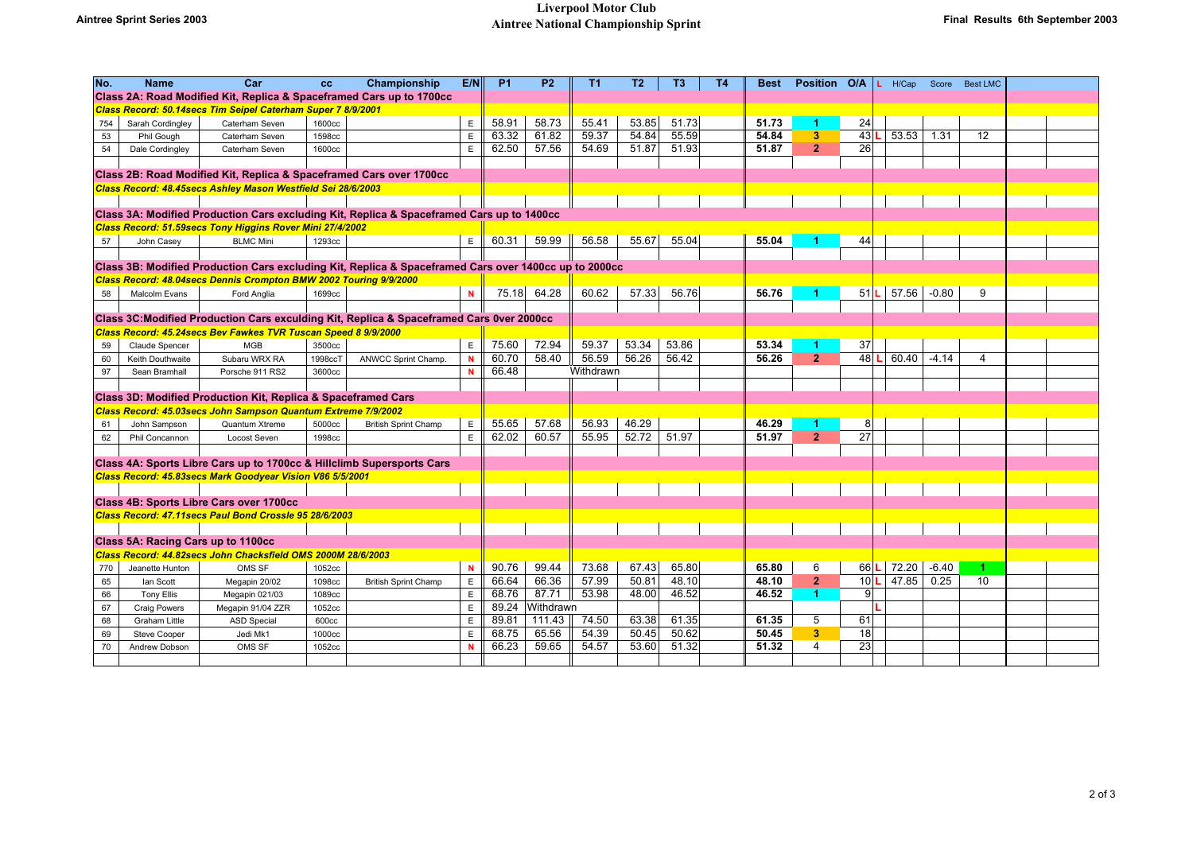| No.                                                                                                                                                        | <b>Name</b>         | Car                                                                 | cc                | Championship                                                                              | E/N                        | P <sub>1</sub> | P <sub>2</sub> | T1        | <b>T2</b> | T <sub>3</sub> | <b>T4</b> | <b>Best</b> | Position O/A            |    | $L$ H/Cap   |         | Score Best LMC |  |
|------------------------------------------------------------------------------------------------------------------------------------------------------------|---------------------|---------------------------------------------------------------------|-------------------|-------------------------------------------------------------------------------------------|----------------------------|----------------|----------------|-----------|-----------|----------------|-----------|-------------|-------------------------|----|-------------|---------|----------------|--|
|                                                                                                                                                            |                     |                                                                     |                   | Class 2A: Road Modified Kit, Replica & Spaceframed Cars up to 1700cc                      |                            |                |                |           |           |                |           |             |                         |    |             |         |                |  |
| Class Record: 50.14secs Tim Seipel Caterham Super 7 8/9/2001                                                                                               |                     |                                                                     |                   |                                                                                           |                            |                |                |           |           |                |           |             |                         |    |             |         |                |  |
| 754                                                                                                                                                        | Sarah Cordingley    | Caterham Seven                                                      | 1600cc            |                                                                                           | $\mathsf E$                | 58.91          | 58.73          | 55.41     | 53.85     | 51.73          |           | 51.73       | -1                      | 24 |             |         |                |  |
| 53                                                                                                                                                         | Phil Gough          | Caterham Seven                                                      | 1598cc            |                                                                                           | $\mathsf E$                | 63.32          | 61.82          | 59.37     | 54.84     | 55.59          |           | 54.84       | $\overline{\mathbf{3}}$ | 43 | 53.53       | 1.31    | 12             |  |
| 54                                                                                                                                                         | Dale Cordingley     | Caterham Seven                                                      | 1600cc            |                                                                                           | $\mathsf E$                | 62.50          | 57.56          | 54.69     | 51.87     | 51.93          |           | 51.87       | $\overline{2}$          | 26 |             |         |                |  |
|                                                                                                                                                            |                     |                                                                     |                   |                                                                                           |                            |                |                |           |           |                |           |             |                         |    |             |         |                |  |
|                                                                                                                                                            |                     | Class 2B: Road Modified Kit, Replica & Spaceframed Cars over 1700cc |                   |                                                                                           |                            |                |                |           |           |                |           |             |                         |    |             |         |                |  |
|                                                                                                                                                            |                     | Class Record: 48.45secs Ashley Mason Westfield Sei 28/6/2003        |                   |                                                                                           |                            |                |                |           |           |                |           |             |                         |    |             |         |                |  |
|                                                                                                                                                            |                     |                                                                     |                   |                                                                                           |                            |                |                |           |           |                |           |             |                         |    |             |         |                |  |
|                                                                                                                                                            |                     |                                                                     |                   | Class 3A: Modified Production Cars excluding Kit, Replica & Spaceframed Cars up to 1400cc |                            |                |                |           |           |                |           |             |                         |    |             |         |                |  |
|                                                                                                                                                            |                     | Class Record: 51.59secs Tony Higgins Rover Mini 27/4/2002           |                   |                                                                                           |                            |                |                |           |           |                |           |             |                         |    |             |         |                |  |
| 57                                                                                                                                                         | John Casey          | <b>BLMC Mini</b>                                                    | 1293cc            |                                                                                           | E                          | 60.31          | 59.99          | 56.58     | 55.67     | 55.04          |           | 55.04       |                         | 44 |             |         |                |  |
|                                                                                                                                                            |                     |                                                                     |                   |                                                                                           |                            |                |                |           |           |                |           |             |                         |    |             |         |                |  |
| Class 3B: Modified Production Cars excluding Kit, Replica & Spaceframed Cars over 1400cc up to 2000cc                                                      |                     |                                                                     |                   |                                                                                           |                            |                |                |           |           |                |           |             |                         |    |             |         |                |  |
|                                                                                                                                                            |                     | Class Record: 48.04secs Dennis Crompton BMW 2002 Touring 9/9/2000   |                   |                                                                                           |                            |                |                |           |           |                |           |             |                         |    |             |         |                |  |
| 58                                                                                                                                                         | Malcolm Evans       | Ford Anglia                                                         | 1699cc            |                                                                                           | $\mathbf N$                |                | 75.18 64.28    | 60.62     | 57.33     | 56.76          |           | 56.76       |                         | 51 | 57.56       | $-0.80$ | 9              |  |
|                                                                                                                                                            |                     |                                                                     |                   |                                                                                           |                            |                |                |           |           |                |           |             |                         |    |             |         |                |  |
| Class 3C: Modified Production Cars exculding Kit, Replica & Spaceframed Cars 0ver 2000cc<br>Class Record: 45.24secs Bev Fawkes TVR Tuscan Speed 8 9/9/2000 |                     |                                                                     |                   |                                                                                           |                            |                |                |           |           |                |           |             |                         |    |             |         |                |  |
|                                                                                                                                                            |                     |                                                                     |                   |                                                                                           |                            | 75.60          | 72.94          | 59.37     | 53.34     | 53.86          |           | 53.34       |                         | 37 |             |         |                |  |
| 59                                                                                                                                                         | Claude Spencer      | MGB                                                                 | 3500cc            |                                                                                           | $\mathsf E$<br>$\mathbf N$ | 60.70          | 58.40          | 56.59     | 56.26     | 56.42          |           | 56.26       | 2 <sup>1</sup>          | 48 | 60.40<br>т. | $-4.14$ | 4              |  |
| 60<br>97                                                                                                                                                   | Keith Douthwaite    | Subaru WRX RA<br>Porsche 911 RS2                                    | 1998ccT<br>3600cc | ANWCC Sprint Champ.                                                                       | $\overline{\mathbf{N}}$    | 66.48          |                | Withdrawn |           |                |           |             |                         |    |             |         |                |  |
|                                                                                                                                                            | Sean Bramhall       |                                                                     |                   |                                                                                           |                            |                |                |           |           |                |           |             |                         |    |             |         |                |  |
|                                                                                                                                                            |                     | Class 3D: Modified Production Kit, Replica & Spaceframed Cars       |                   |                                                                                           |                            |                |                |           |           |                |           |             |                         |    |             |         |                |  |
|                                                                                                                                                            |                     | Class Record: 45.03secs John Sampson Quantum Extreme 7/9/2002       |                   |                                                                                           |                            |                |                |           |           |                |           |             |                         |    |             |         |                |  |
| 61                                                                                                                                                         | John Sampson        | Quantum Xtreme                                                      | 5000cc            | <b>British Sprint Champ</b>                                                               | E                          | 55.65          | 57.68          | 56.93     | 46.29     |                |           | 46.29       | 4                       | 8  |             |         |                |  |
| 62                                                                                                                                                         | Phil Concannon      | Locost Seven                                                        | 1998cc            |                                                                                           | $\mathsf E$                | 62.02          | 60.57          | 55.95     | 52.72     | 51.97          |           | 51.97       | 2 <sup>1</sup>          | 27 |             |         |                |  |
|                                                                                                                                                            |                     |                                                                     |                   |                                                                                           |                            |                |                |           |           |                |           |             |                         |    |             |         |                |  |
|                                                                                                                                                            |                     |                                                                     |                   | Class 4A: Sports Libre Cars up to 1700cc & Hillclimb Supersports Cars                     |                            |                |                |           |           |                |           |             |                         |    |             |         |                |  |
|                                                                                                                                                            |                     | Class Record: 45.83secs Mark Goodyear Vision V86 5/5/2001           |                   |                                                                                           |                            |                |                |           |           |                |           |             |                         |    |             |         |                |  |
|                                                                                                                                                            |                     |                                                                     |                   |                                                                                           |                            |                |                |           |           |                |           |             |                         |    |             |         |                |  |
|                                                                                                                                                            |                     | Class 4B: Sports Libre Cars over 1700cc                             |                   |                                                                                           |                            |                |                |           |           |                |           |             |                         |    |             |         |                |  |
|                                                                                                                                                            |                     | Class Record: 47.11secs Paul Bond Crossle 95 28/6/2003              |                   |                                                                                           |                            |                |                |           |           |                |           |             |                         |    |             |         |                |  |
|                                                                                                                                                            |                     |                                                                     |                   |                                                                                           |                            |                |                |           |           |                |           |             |                         |    |             |         |                |  |
|                                                                                                                                                            |                     | Class 5A: Racing Cars up to 1100cc                                  |                   |                                                                                           |                            |                |                |           |           |                |           |             |                         |    |             |         |                |  |
|                                                                                                                                                            |                     | Class Record: 44.82secs John Chacksfield OMS 2000M 28/6/2003        |                   |                                                                                           |                            |                |                |           |           |                |           |             |                         |    |             |         |                |  |
| 770                                                                                                                                                        | Jeanette Hunton     | OMS SF                                                              | 1052cc            |                                                                                           | $\mathbf N$                | 90.76          | 99.44          | 73.68     | 67.43     | 65.80          |           | 65.80       | 6                       | 66 | 72.20       | $-6.40$ | 1.             |  |
| 65                                                                                                                                                         | lan Scott           | Megapin 20/02                                                       | 1098cc            | <b>British Sprint Champ</b>                                                               | $\mathsf E$                | 66.64          | 66.36          | 57.99     | 50.81     | 48.10          |           | 48.10       | 2 <sup>1</sup>          | 10 | 47.85       | 0.25    | 10             |  |
| 66                                                                                                                                                         | <b>Tony Ellis</b>   | Megapin 021/03                                                      | 1089cc            |                                                                                           | $\mathsf E$                | 68.76          | 87.71          | 53.98     | 48.00     | 46.52          |           | 46.52       | $\blacktriangleleft$    | 9  |             |         |                |  |
| 67                                                                                                                                                         | <b>Craig Powers</b> | Megapin 91/04 ZZR                                                   | 1052cc            |                                                                                           | $\mathsf E$                | 89.24          | Withdrawn      |           |           |                |           |             |                         |    |             |         |                |  |
| 68                                                                                                                                                         | Graham Little       | <b>ASD Special</b>                                                  | 600cc             |                                                                                           | $\mathsf E$                | 89.81          | 111.43         | 74.50     | 63.38     | 61.35          |           | 61.35       | 5                       | 61 |             |         |                |  |
| 69                                                                                                                                                         | Steve Cooper        | Jedi Mk1                                                            | 1000cc            |                                                                                           | E                          | 68.75          | 65.56          | 54.39     | 50.45     | 50.62          |           | 50.45       | 3                       | 18 |             |         |                |  |
| 70                                                                                                                                                         | Andrew Dobson       | OMS SF                                                              | 1052cc            |                                                                                           | $\mathbf N$                | 66.23          | 59.65          | 54.57     | 53.60     | 51.32          |           | 51.32       | $\overline{4}$          | 23 |             |         |                |  |
|                                                                                                                                                            |                     |                                                                     |                   |                                                                                           |                            |                |                |           |           |                |           |             |                         |    |             |         |                |  |